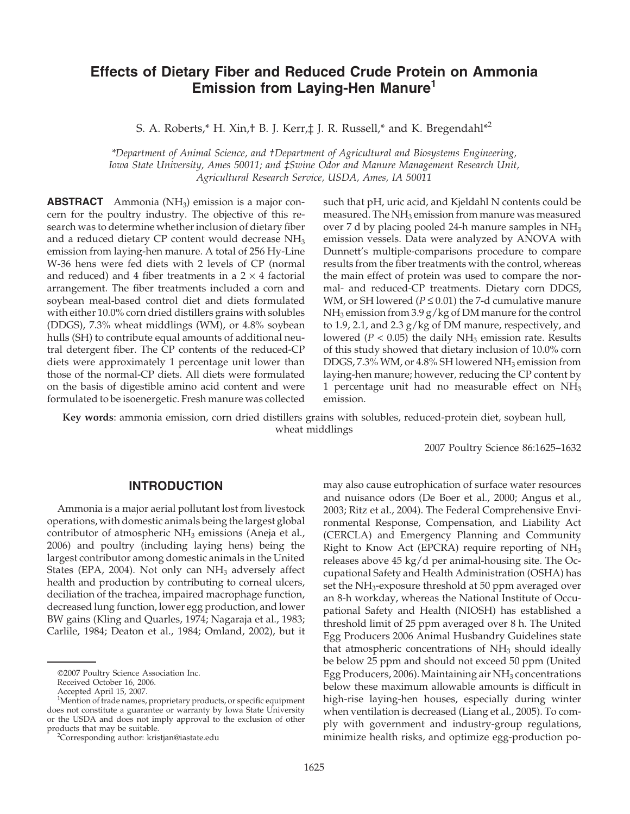# **Effects of Dietary Fiber and Reduced Crude Protein on Ammonia Emission from Laying-Hen Manure1**

S. A. Roberts,\* H. Xin,† B. J. Kerr, $\ddagger$  J. R. Russell,\* and K. Bregendahl\*<sup>2</sup>

*\*Department of Animal Science, and †Department of Agricultural and Biosystems Engineering, Iowa State University, Ames 50011; and ‡Swine Odor and Manure Management Research Unit, Agricultural Research Service, USDA, Ames, IA 50011*

**ABSTRACT** Ammonia (NH<sub>3</sub>) emission is a major concern for the poultry industry. The objective of this research was to determine whether inclusion of dietary fiber and a reduced dietary CP content would decrease  $NH<sub>3</sub>$ emission from laying-hen manure. A total of 256 Hy-Line W-36 hens were fed diets with 2 levels of CP (normal and reduced) and 4 fiber treatments in a  $2 \times 4$  factorial arrangement. The fiber treatments included a corn and soybean meal-based control diet and diets formulated with either 10.0% corn dried distillers grains with solubles (DDGS), 7.3% wheat middlings (WM), or 4.8% soybean hulls (SH) to contribute equal amounts of additional neutral detergent fiber. The CP contents of the reduced-CP diets were approximately 1 percentage unit lower than those of the normal-CP diets. All diets were formulated on the basis of digestible amino acid content and were formulated to be isoenergetic. Fresh manure was collected such that pH, uric acid, and Kjeldahl N contents could be measured. The  $NH<sub>3</sub>$  emission from manure was measured over 7 d by placing pooled 24-h manure samples in NH<sub>3</sub> emission vessels. Data were analyzed by ANOVA with Dunnett's multiple-comparisons procedure to compare results from the fiber treatments with the control, whereas the main effect of protein was used to compare the normal- and reduced-CP treatments. Dietary corn DDGS, WM, or SH lowered ( $P \le 0.01$ ) the 7-d cumulative manure  $NH<sub>3</sub>$  emission from 3.9 g/kg of DM manure for the control to 1.9, 2.1, and 2.3 g/kg of DM manure, respectively, and lowered ( $P < 0.05$ ) the daily NH<sub>3</sub> emission rate. Results of this study showed that dietary inclusion of 10.0% corn DDGS, 7.3% WM, or 4.8% SH lowered  $NH<sub>3</sub>$  emission from laying-hen manure; however, reducing the CP content by 1 percentage unit had no measurable effect on  $NH<sub>3</sub>$ emission.

**Key words**: ammonia emission, corn dried distillers grains with solubles, reduced-protein diet, soybean hull, wheat middlings

2007 Poultry Science 86:1625–1632

### **INTRODUCTION**

Ammonia is a major aerial pollutant lost from livestock operations, with domestic animals being the largest global contributor of atmospheric NH<sub>3</sub> emissions (Aneja et al., 2006) and poultry (including laying hens) being the largest contributor among domestic animals in the United States (EPA, 2004). Not only can  $NH<sub>3</sub>$  adversely affect health and production by contributing to corneal ulcers, deciliation of the trachea, impaired macrophage function, decreased lung function, lower egg production, and lower BW gains (Kling and Quarles, 1974; Nagaraja et al., 1983; Carlile, 1984; Deaton et al., 1984; Omland, 2002), but it may also cause eutrophication of surface water resources and nuisance odors (De Boer et al., 2000; Angus et al., 2003; Ritz et al., 2004). The Federal Comprehensive Environmental Response, Compensation, and Liability Act (CERCLA) and Emergency Planning and Community Right to Know Act (EPCRA) require reporting of NH3 releases above 45 kg/d per animal-housing site. The Occupational Safety and Health Administration (OSHA) has set the NH<sub>3</sub>-exposure threshold at 50 ppm averaged over an 8-h workday, whereas the National Institute of Occupational Safety and Health (NIOSH) has established a threshold limit of 25 ppm averaged over 8 h. The United Egg Producers 2006 Animal Husbandry Guidelines state that atmospheric concentrations of  $NH<sub>3</sub>$  should ideally be below 25 ppm and should not exceed 50 ppm (United Egg Producers, 2006). Maintaining air  $NH<sub>3</sub>$  concentrations below these maximum allowable amounts is difficult in high-rise laying-hen houses, especially during winter when ventilation is decreased (Liang et al., 2005). To comply with government and industry-group regulations, minimize health risks, and optimize egg-production po-

<sup>©</sup>2007 Poultry Science Association Inc.

Received October 16, 2006.

Accepted April 15, 2007.

<sup>&</sup>lt;sup>1</sup>Mention of trade names, proprietary products, or specific equipment does not constitute a guarantee or warranty by Iowa State University or the USDA and does not imply approval to the exclusion of other products that may be suitable. <sup>2</sup>

<sup>&</sup>lt;sup>2</sup>Corresponding author: kristjan@iastate.edu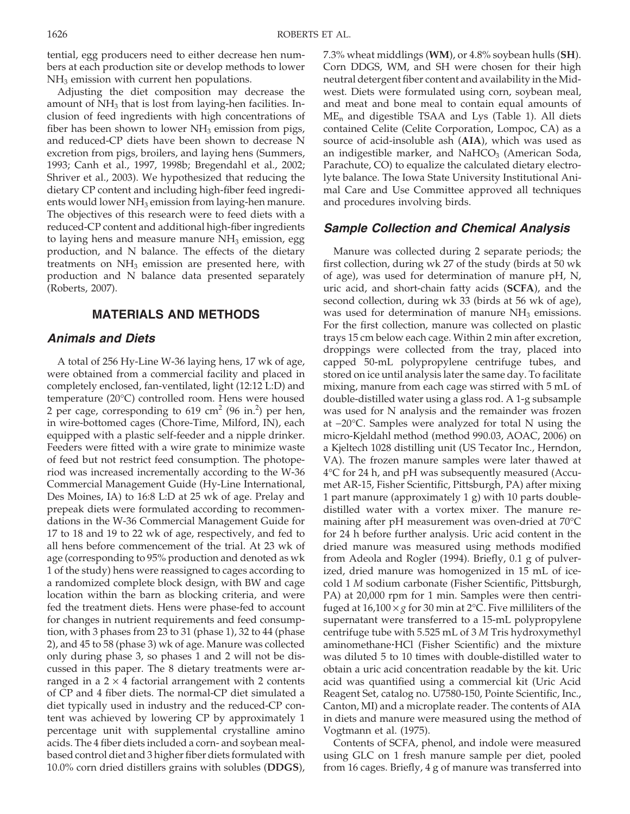tential, egg producers need to either decrease hen numbers at each production site or develop methods to lower NH3 emission with current hen populations.

Adjusting the diet composition may decrease the amount of  $NH<sub>3</sub>$  that is lost from laying-hen facilities. Inclusion of feed ingredients with high concentrations of fiber has been shown to lower  $NH<sub>3</sub>$  emission from pigs, and reduced-CP diets have been shown to decrease N excretion from pigs, broilers, and laying hens (Summers, 1993; Canh et al., 1997, 1998b; Bregendahl et al., 2002; Shriver et al., 2003). We hypothesized that reducing the dietary CP content and including high-fiber feed ingredients would lower  $NH<sub>3</sub>$  emission from laying-hen manure. The objectives of this research were to feed diets with a reduced-CP content and additional high-fiber ingredients to laying hens and measure manure  $NH<sub>3</sub>$  emission, egg production, and N balance. The effects of the dietary treatments on  $NH<sub>3</sub>$  emission are presented here, with production and N balance data presented separately (Roberts, 2007).

### **MATERIALS AND METHODS**

# *Animals and Diets*

A total of 256 Hy-Line W-36 laying hens, 17 wk of age, were obtained from a commercial facility and placed in completely enclosed, fan-ventilated, light (12:12 L:D) and temperature (20°C) controlled room. Hens were housed 2 per cage, corresponding to  $619 \text{ cm}^2$  (96 in.<sup>2</sup>) per hen, in wire-bottomed cages (Chore-Time, Milford, IN), each equipped with a plastic self-feeder and a nipple drinker. Feeders were fitted with a wire grate to minimize waste of feed but not restrict feed consumption. The photoperiod was increased incrementally according to the W-36 Commercial Management Guide (Hy-Line International, Des Moines, IA) to 16:8 L:D at 25 wk of age. Prelay and prepeak diets were formulated according to recommendations in the W-36 Commercial Management Guide for 17 to 18 and 19 to 22 wk of age, respectively, and fed to all hens before commencement of the trial. At 23 wk of age (corresponding to 95% production and denoted as wk 1 of the study) hens were reassigned to cages according to a randomized complete block design, with BW and cage location within the barn as blocking criteria, and were fed the treatment diets. Hens were phase-fed to account for changes in nutrient requirements and feed consumption, with 3 phases from 23 to 31 (phase 1), 32 to 44 (phase 2), and 45 to 58 (phase 3) wk of age. Manure was collected only during phase 3, so phases 1 and 2 will not be discussed in this paper. The 8 dietary treatments were arranged in a  $2 \times 4$  factorial arrangement with 2 contents of CP and 4 fiber diets. The normal-CP diet simulated a diet typically used in industry and the reduced-CP content was achieved by lowering CP by approximately 1 percentage unit with supplemental crystalline amino acids. The 4 fiber diets included a corn- and soybean mealbased control diet and 3 higher fiber diets formulated with 10.0% corn dried distillers grains with solubles (**DDGS**), 7.3% wheat middlings (**WM**), or 4.8% soybean hulls (**SH**). Corn DDGS, WM, and SH were chosen for their high neutral detergent fiber content and availability in the Midwest. Diets were formulated using corn, soybean meal, and meat and bone meal to contain equal amounts of  $ME_n$  and digestible TSAA and Lys (Table 1). All diets contained Celite (Celite Corporation, Lompoc, CA) as a source of acid-insoluble ash (**AIA**), which was used as an indigestible marker, and  $NaHCO<sub>3</sub>$  (American Soda, Parachute, CO) to equalize the calculated dietary electrolyte balance. The Iowa State University Institutional Animal Care and Use Committee approved all techniques and procedures involving birds.

#### *Sample Collection and Chemical Analysis*

Manure was collected during 2 separate periods; the first collection, during wk 27 of the study (birds at 50 wk of age), was used for determination of manure pH, N, uric acid, and short-chain fatty acids (**SCFA**), and the second collection, during wk 33 (birds at 56 wk of age), was used for determination of manure  $NH<sub>3</sub>$  emissions. For the first collection, manure was collected on plastic trays 15 cm below each cage. Within 2 min after excretion, droppings were collected from the tray, placed into capped 50-mL polypropylene centrifuge tubes, and stored on ice until analysis later the same day. To facilitate mixing, manure from each cage was stirred with 5 mL of double-distilled water using a glass rod. A 1-g subsample was used for N analysis and the remainder was frozen at −20°C. Samples were analyzed for total N using the micro-Kjeldahl method (method 990.03, AOAC, 2006) on a Kjeltech 1028 distilling unit (US Tecator Inc., Herndon, VA). The frozen manure samples were later thawed at 4°C for 24 h, and pH was subsequently measured (Accumet AR-15, Fisher Scientific, Pittsburgh, PA) after mixing 1 part manure (approximately 1 g) with 10 parts doubledistilled water with a vortex mixer. The manure remaining after pH measurement was oven-dried at 70°C for 24 h before further analysis. Uric acid content in the dried manure was measured using methods modified from Adeola and Rogler (1994). Briefly, 0.1 g of pulverized, dried manure was homogenized in 15 mL of icecold 1 *M* sodium carbonate (Fisher Scientific, Pittsburgh, PA) at 20,000 rpm for 1 min. Samples were then centrifuged at  $16,100 \times g$  for 30 min at 2°C. Five milliliters of the supernatant were transferred to a 15-mL polypropylene centrifuge tube with 5.525 mL of 3 *M* Tris hydroxymethyl aminomethane·HCl (Fisher Scientific) and the mixture was diluted 5 to 10 times with double-distilled water to obtain a uric acid concentration readable by the kit. Uric acid was quantified using a commercial kit (Uric Acid Reagent Set, catalog no. U7580-150, Pointe Scientific, Inc., Canton, MI) and a microplate reader. The contents of AIA in diets and manure were measured using the method of Vogtmann et al. (1975).

Contents of SCFA, phenol, and indole were measured using GLC on 1 fresh manure sample per diet, pooled from 16 cages. Briefly, 4 g of manure was transferred into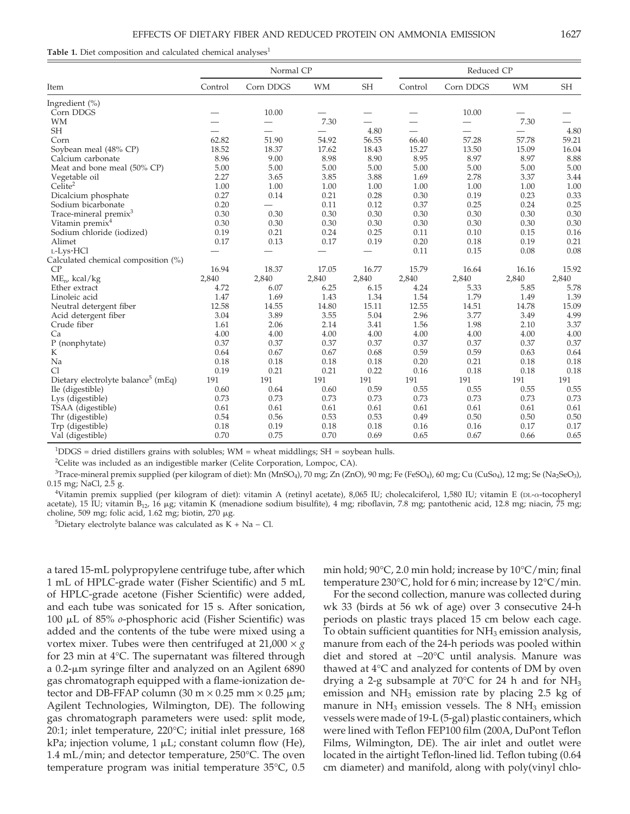Table 1. Diet composition and calculated chemical analyses<sup>1</sup>

|                                                |                          | Normal CP                |           |           | Reduced CP               |                          |           |           |
|------------------------------------------------|--------------------------|--------------------------|-----------|-----------|--------------------------|--------------------------|-----------|-----------|
| Item                                           | Control                  | Corn DDGS                | <b>WM</b> | <b>SH</b> | Control                  | Corn DDGS                | <b>WM</b> | <b>SH</b> |
| Ingredient (%)                                 |                          |                          |           |           |                          |                          |           |           |
| Corn DDGS                                      |                          | 10.00                    |           |           |                          | 10.00                    |           |           |
| <b>WM</b>                                      |                          |                          | 7.30      |           |                          |                          | 7.30      |           |
| <b>SH</b>                                      | $\overline{\phantom{0}}$ | $\overline{\phantom{0}}$ |           | 4.80      | $\overline{\phantom{0}}$ | $\overline{\phantom{0}}$ |           | 4.80      |
| Corn                                           | 62.82                    | 51.90                    | 54.92     | 56.55     | 66.40                    | 57.28                    | 57.78     | 59.21     |
| Soybean meal (48% CP)                          | 18.52                    | 18.37                    | 17.62     | 18.43     | 15.27                    | 13.50                    | 15.09     | 16.04     |
| Calcium carbonate                              | 8.96                     | 9.00                     | 8.98      | 8.90      | 8.95                     | 8.97                     | 8.97      | 8.88      |
| Meat and bone meal (50% CP)                    | 5.00                     | 5.00                     | 5.00      | 5.00      | 5.00                     | 5.00                     | 5.00      | 5.00      |
| Vegetable oil                                  | 2.27                     | 3.65                     | 3.85      | 3.88      | 1.69                     | 2.78                     | 3.37      | 3.44      |
| $Ce\tilde{a}$ <sub>te</sub> <sup>2</sup>       | 1.00                     | 1.00                     | 1.00      | 1.00      | 1.00                     | 1.00                     | 1.00      | 1.00      |
| Dicalcium phosphate                            | 0.27                     | 0.14                     | 0.21      | 0.28      | 0.30                     | 0.19                     | 0.23      | 0.33      |
| Sodium bicarbonate                             | 0.20                     |                          | 0.11      | 0.12      | 0.37                     | 0.25                     | 0.24      | 0.25      |
| Trace-mineral premix <sup>3</sup>              | 0.30                     | 0.30                     | 0.30      | 0.30      | 0.30                     | 0.30                     | 0.30      | 0.30      |
| Vitamin premix <sup>4</sup>                    | 0.30                     | 0.30                     | 0.30      | 0.30      | 0.30                     | 0.30                     | 0.30      | 0.30      |
| Sodium chloride (iodized)                      | 0.19                     | 0.21                     | 0.24      | 0.25      | 0.11                     | 0.10                     | 0.15      | 0.16      |
| Alimet                                         | 0.17                     | 0.13                     | 0.17      | 0.19      | 0.20                     | 0.18                     | 0.19      | 0.21      |
| L-Lys·HCl                                      |                          |                          |           |           | 0.11                     | 0.15                     | 0.08      | 0.08      |
| Calculated chemical composition (%)            |                          |                          |           |           |                          |                          |           |           |
| CP                                             | 16.94                    | 18.37                    | 17.05     | 16.77     | 15.79                    | 16.64                    | 16.16     | 15.92     |
| $ME_{n}$ , kcal/kg                             | 2,840                    | 2,840                    | 2,840     | 2,840     | 2,840                    | 2,840                    | 2,840     | 2,840     |
| Ether extract                                  | 4.72                     | 6.07                     | 6.25      | 6.15      | 4.24                     | 5.33                     | 5.85      | 5.78      |
| Linoleic acid                                  | 1.47                     | 1.69                     | 1.43      | 1.34      | 1.54                     | 1.79                     | 1.49      | 1.39      |
| Neutral detergent fiber                        | 12.58                    | 14.55                    | 14.80     | 15.11     | 12.55                    | 14.51                    | 14.78     | 15.09     |
| Acid detergent fiber                           | 3.04                     | 3.89                     | 3.55      | 5.04      | 2.96                     | 3.77                     | 3.49      | 4.99      |
| Crude fiber                                    | 1.61                     | 2.06                     | 2.14      | 3.41      | 1.56                     | 1.98                     | 2.10      | 3.37      |
| Ca                                             | 4.00                     | 4.00                     | 4.00      | 4.00      | 4.00                     | 4.00                     | 4.00      | 4.00      |
| P (nonphytate)                                 | 0.37                     | 0.37                     | 0.37      | 0.37      | 0.37                     | 0.37                     | 0.37      | 0.37      |
| K                                              | 0.64                     | 0.67                     | 0.67      | 0.68      | 0.59                     | 0.59                     | 0.63      | 0.64      |
| Na                                             | 0.18                     | 0.18                     | 0.18      | 0.18      | 0.20                     | 0.21                     | 0.18      | 0.18      |
| C <sub>1</sub>                                 | 0.19                     | 0.21                     | 0.21      | 0.22      | 0.16                     | 0.18                     | 0.18      | 0.18      |
| Dietary electrolyte balance <sup>5</sup> (mEq) | 191                      | 191                      | 191       | 191       | 191                      | 191                      | 191       | 191       |
| Ile (digestible)                               | 0.60                     | 0.64                     | 0.60      | 0.59      | 0.55                     | 0.55                     | 0.55      | 0.55      |
| Lys (digestible)                               | 0.73                     | 0.73                     | 0.73      | 0.73      | 0.73                     | 0.73                     | 0.73      | 0.73      |
| TSAA (digestible)                              | 0.61                     | 0.61                     | 0.61      | 0.61      | 0.61                     | 0.61                     | 0.61      | 0.61      |
| Thr (digestible)                               | 0.54                     | 0.56                     | 0.53      | 0.53      | 0.49                     | 0.50                     | 0.50      | 0.50      |
| Trp (digestible)                               | 0.18                     | 0.19                     | 0.18      | 0.18      | 0.16                     | 0.16                     | 0.17      | 0.17      |
| Val (digestible)                               | 0.70                     | 0.75                     | 0.70      | 0.69      | 0.65                     | 0.67                     | 0.66      | 0.65      |

 $1^{1}$ DDGS = dried distillers grains with solubles; WM = wheat middlings; SH = soybean hulls.

<sup>2</sup>Celite was included as an indigestible marker (Celite Corporation, Lompoc, CA).

<sup>3</sup>Trace-mineral premix supplied (per kilogram of diet): Mn (MnSO<sub>4</sub>), 70 mg; Zn (ZnO), 90 mg; Fe (FeSO<sub>4</sub>), 60 mg; Cu (CuSo<sub>4</sub>), 12 mg; Se (Na<sub>2</sub>SeO<sub>3</sub>), 0.15 mg; NaCl, 2.5 g.

4 Vitamin premix supplied (per kilogram of diet): vitamin A (retinyl acetate), 8,065 IU; cholecalciferol, 1,580 IU; vitamin E (DL-α-tocopheryl acetate), 15 IU; vitamin B<sub>12</sub>, 16 µg; vitamin K (menadione sodium bisulfite), 4 mg; riboflavin, 7.8 mg; pantothenic acid, 12.8 mg; niacin, 75 mg; choline, 509 mg; folic acid, 1.62 mg; biotin, 270  $\mu$ g.

 $5$ Dietary electrolyte balance was calculated as K + Na – Cl.

a tared 15-mL polypropylene centrifuge tube, after which 1 mL of HPLC-grade water (Fisher Scientific) and 5 mL of HPLC-grade acetone (Fisher Scientific) were added, and each tube was sonicated for 15 s. After sonication, 100 μL of 85% *o*-phosphoric acid (Fisher Scientific) was added and the contents of the tube were mixed using a vortex mixer. Tubes were then centrifuged at  $21,000 \times g$ for 23 min at 4°C. The supernatant was filtered through a 0.2-µm syringe filter and analyzed on an Agilent 6890 gas chromatograph equipped with a flame-ionization detector and DB-FFAP column (30 m  $\times$  0.25 mm  $\times$  0.25  $\mu$ m; Agilent Technologies, Wilmington, DE). The following gas chromatograph parameters were used: split mode, 20:1; inlet temperature, 220°C; initial inlet pressure, 168 kPa; injection volume,  $1 \mu L$ ; constant column flow (He), 1.4 mL/min; and detector temperature, 250°C. The oven temperature program was initial temperature 35°C, 0.5 min hold; 90°C, 2.0 min hold; increase by 10°C/min; final temperature 230°C, hold for 6 min; increase by 12°C/min.

For the second collection, manure was collected during wk 33 (birds at 56 wk of age) over 3 consecutive 24-h periods on plastic trays placed 15 cm below each cage. To obtain sufficient quantities for  $NH<sub>3</sub>$  emission analysis, manure from each of the 24-h periods was pooled within diet and stored at −20°C until analysis. Manure was thawed at 4°C and analyzed for contents of DM by oven drying a 2-g subsample at 70 $\degree$ C for 24 h and for NH<sub>3</sub> emission and  $NH<sub>3</sub>$  emission rate by placing 2.5 kg of manure in  $NH_3$  emission vessels. The 8  $NH_3$  emission vessels were made of 19-L (5-gal) plastic containers, which were lined with Teflon FEP100 film (200A, DuPont Teflon Films, Wilmington, DE). The air inlet and outlet were located in the airtight Teflon-lined lid. Teflon tubing (0.64 cm diameter) and manifold, along with poly(vinyl chlo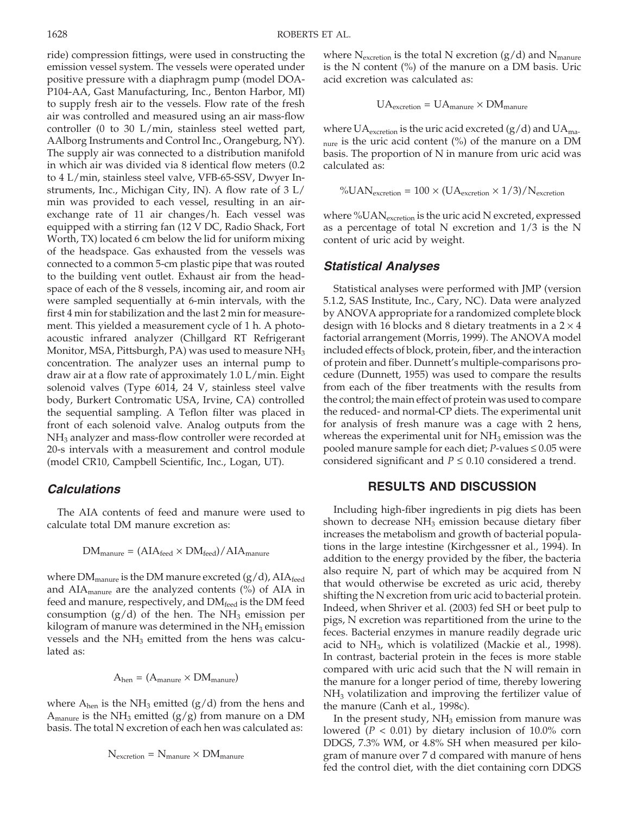ride) compression fittings, were used in constructing the emission vessel system. The vessels were operated under positive pressure with a diaphragm pump (model DOA-P104-AA, Gast Manufacturing, Inc., Benton Harbor, MI) to supply fresh air to the vessels. Flow rate of the fresh air was controlled and measured using an air mass-flow controller (0 to 30 L/min, stainless steel wetted part, AAlborg Instruments and Control Inc., Orangeburg, NY). The supply air was connected to a distribution manifold in which air was divided via 8 identical flow meters (0.2 to 4 L/min, stainless steel valve, VFB-65-SSV, Dwyer Instruments, Inc., Michigan City, IN). A flow rate of 3 L/ min was provided to each vessel, resulting in an airexchange rate of 11 air changes/h. Each vessel was equipped with a stirring fan (12 V DC, Radio Shack, Fort Worth, TX) located 6 cm below the lid for uniform mixing of the headspace. Gas exhausted from the vessels was connected to a common 5-cm plastic pipe that was routed to the building vent outlet. Exhaust air from the headspace of each of the 8 vessels, incoming air, and room air were sampled sequentially at 6-min intervals, with the first 4 min for stabilization and the last 2 min for measurement. This yielded a measurement cycle of 1 h. A photoacoustic infrared analyzer (Chillgard RT Refrigerant Monitor, MSA, Pittsburgh, PA) was used to measure NH3 concentration. The analyzer uses an internal pump to draw air at a flow rate of approximately 1.0 L/min. Eight solenoid valves (Type 6014, 24 V, stainless steel valve body, Burkert Contromatic USA, Irvine, CA) controlled the sequential sampling. A Teflon filter was placed in front of each solenoid valve. Analog outputs from the NH<sub>3</sub> analyzer and mass-flow controller were recorded at 20-s intervals with a measurement and control module (model CR10, Campbell Scientific, Inc., Logan, UT).

# *Calculations*

The AIA contents of feed and manure were used to calculate total DM manure excretion as:

$$
DM_{\text{manure}} = (AIA_{\text{feed}} \times DM_{\text{feed}}) / AIA_{\text{manure}}
$$

where  $DM_{\text{manure}}$  is the DM manure excreted  $(g/d)$ , AIA $_{\text{feed}}$ and  $AIA_{\text{manure}}$  are the analyzed contents (%) of  $AIA$  in feed and manure, respectively, and  $DM_{feed}$  is the DM feed consumption  $(g/d)$  of the hen. The NH<sub>3</sub> emission per kilogram of manure was determined in the  $NH<sub>3</sub>$  emission vessels and the NH<sub>3</sub> emitted from the hens was calculated as:

$$
A_{hen} = (A_{manure} \times DM_{manure})
$$

where  $A_{hen}$  is the NH<sub>3</sub> emitted (g/d) from the hens and  $A<sub>manure</sub>$  is the NH<sub>3</sub> emitted (g/g) from manure on a DM basis. The total N excretion of each hen was calculated as:

$$
N_{\text{excretion}} = N_{\text{manure}} \times DM_{\text{manure}}
$$

where  $N_{\text{excretion}}$  is the total N excretion (g/d) and  $N_{\text{manure}}$ is the N content  $\frac{6}{6}$  of the manure on a DM basis. Uric acid excretion was calculated as:

$$
UA_{excretion} = UA_{manure} \times DM_{manure}
$$

where  $UA_{\text{excretion}}$  is the uric acid excreted (g/d) and  $UA_{\text{ma}}$  $_{\text{nure}}$  is the uric acid content (%) of the manure on a DM basis. The proportion of N in manure from uric acid was calculated as:

$$
\%UAN_{\text{excretion}} = 100 \times (UA_{\text{excretion}} \times 1/3)/N_{\text{excretion}}
$$

where %UAN<sub>excretion</sub> is the uric acid N excreted, expressed as a percentage of total N excretion and 1/3 is the N content of uric acid by weight.

#### *Statistical Analyses*

Statistical analyses were performed with JMP (version 5.1.2, SAS Institute, Inc., Cary, NC). Data were analyzed by ANOVA appropriate for a randomized complete block design with 16 blocks and 8 dietary treatments in a  $2 \times 4$ factorial arrangement (Morris, 1999). The ANOVA model included effects of block, protein, fiber, and the interaction of protein and fiber. Dunnett's multiple-comparisons procedure (Dunnett, 1955) was used to compare the results from each of the fiber treatments with the results from the control; the main effect of protein was used to compare the reduced- and normal-CP diets. The experimental unit for analysis of fresh manure was a cage with 2 hens, whereas the experimental unit for  $NH<sub>3</sub>$  emission was the pooled manure sample for each diet; *P*-values ≤ 0.05 were considered significant and  $P \leq 0.10$  considered a trend.

### **RESULTS AND DISCUSSION**

Including high-fiber ingredients in pig diets has been shown to decrease  $NH<sub>3</sub>$  emission because dietary fiber increases the metabolism and growth of bacterial populations in the large intestine (Kirchgessner et al., 1994). In addition to the energy provided by the fiber, the bacteria also require N, part of which may be acquired from N that would otherwise be excreted as uric acid, thereby shifting the N excretion from uric acid to bacterial protein. Indeed, when Shriver et al. (2003) fed SH or beet pulp to pigs, N excretion was repartitioned from the urine to the feces. Bacterial enzymes in manure readily degrade uric acid to NH3, which is volatilized (Mackie et al., 1998). In contrast, bacterial protein in the feces is more stable compared with uric acid such that the N will remain in the manure for a longer period of time, thereby lowering  $NH<sub>3</sub>$  volatilization and improving the fertilizer value of the manure (Canh et al., 1998c).

In the present study,  $NH<sub>3</sub>$  emission from manure was lowered  $(P < 0.01)$  by dietary inclusion of 10.0% corn DDGS, 7.3% WM, or 4.8% SH when measured per kilogram of manure over 7 d compared with manure of hens fed the control diet, with the diet containing corn DDGS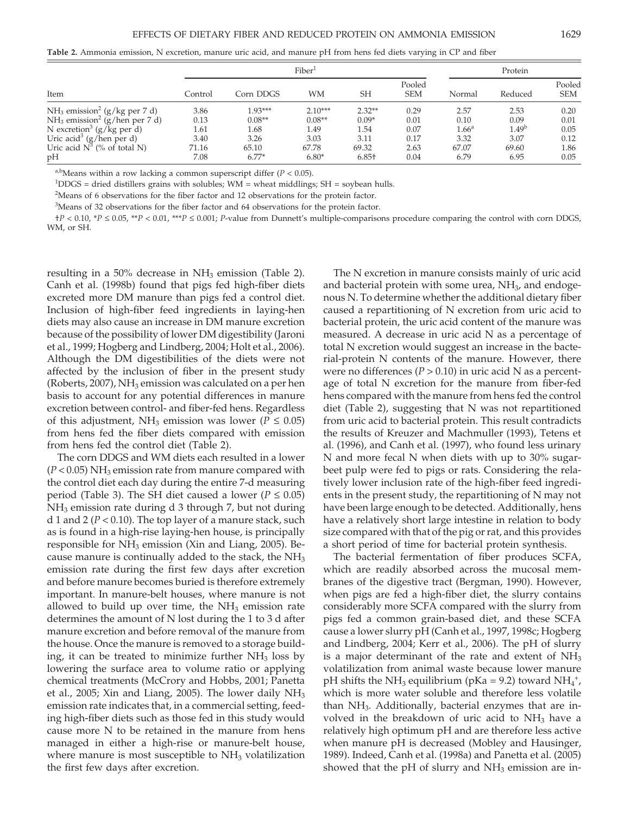**Table 2.** Ammonia emission, N excretion, manure uric acid, and manure pH from hens fed diets varying in CP and fiber

| Item                                        |         |           | Protein   |                   |                      |                   |                   |                      |
|---------------------------------------------|---------|-----------|-----------|-------------------|----------------------|-------------------|-------------------|----------------------|
|                                             | Control | Corn DDGS | WМ        | <b>SH</b>         | Pooled<br><b>SEM</b> | Normal            | Reduced           | Pooled<br><b>SEM</b> |
| $NH_3$ emission <sup>2</sup> (g/kg per 7 d) | 3.86    | $1.93***$ | $2.10***$ | $2.32**$          | 0.29                 | 2.57              | 2.53              | 0.20                 |
| $NH3$ emission <sup>2</sup> (g/hen per 7 d) | 0.13    | $0.08**$  | $0.08**$  | $0.09*$           | 0.01                 | 0.10              | 0.09              | 0.01                 |
| N excretion <sup>3</sup> (g/kg per d)       | 1.61    | 1.68      | 1.49      | 1.54              | 0.07                 | 1.66 <sup>a</sup> | 1.49 <sup>b</sup> | 0.05                 |
| Uric acid <sup>3</sup> (g/hen per d)        | 3.40    | 3.26      | 3.03      | 3.11              | 0.17                 | 3.32              | 3.07              | 0.12                 |
| Uric acid $N^3$ (% of total N)              | 71.16   | 65.10     | 67.78     | 69.32             | 2.63                 | 67.07             | 69.60             | 1.86                 |
| pН                                          | 7.08    | $6.77*$   | $6.80*$   | 6.85 <sup>†</sup> | 0.04                 | 6.79              | 6.95              | 0.05                 |

<sup>a,b</sup>Means within a row lacking a common superscript differ  $(P < 0.05)$ .

 $1^{1}$ DDGS = dried distillers grains with solubles; WM = wheat middlings; SH = soybean hulls.

 $2^2$ Means of 6 observations for the fiber factor and 12 observations for the protein factor.

<sup>3</sup>Means of 32 observations for the fiber factor and 64 observations for the protein factor.

†*P* < 0.10, \**P* ≤ 0.05, \*\**P* < 0.01, \*\*\**P* ≤ 0.001; *P*-value from Dunnett's multiple-comparisons procedure comparing the control with corn DDGS, WM, or SH.

resulting in a 50% decrease in  $NH<sub>3</sub>$  emission (Table 2). Canh et al. (1998b) found that pigs fed high-fiber diets excreted more DM manure than pigs fed a control diet. Inclusion of high-fiber feed ingredients in laying-hen diets may also cause an increase in DM manure excretion because of the possibility of lower DM digestibility (Jaroni et al., 1999; Hogberg and Lindberg, 2004; Holt et al., 2006). Although the DM digestibilities of the diets were not affected by the inclusion of fiber in the present study (Roberts, 2007), NH<sub>3</sub> emission was calculated on a per hen basis to account for any potential differences in manure excretion between control- and fiber-fed hens. Regardless of this adjustment, NH<sub>3</sub> emission was lower ( $P \le 0.05$ ) from hens fed the fiber diets compared with emission from hens fed the control diet (Table 2).

The corn DDGS and WM diets each resulted in a lower  $(P<0.05)$  NH<sub>3</sub> emission rate from manure compared with the control diet each day during the entire 7-d measuring period (Table 3). The SH diet caused a lower ( $P \le 0.05$ )  $NH<sub>3</sub>$  emission rate during d 3 through 7, but not during d 1 and 2 (*P* < 0.10). The top layer of a manure stack, such as is found in a high-rise laying-hen house, is principally responsible for  $NH<sub>3</sub>$  emission (Xin and Liang, 2005). Because manure is continually added to the stack, the  $NH<sub>3</sub>$ emission rate during the first few days after excretion and before manure becomes buried is therefore extremely important. In manure-belt houses, where manure is not allowed to build up over time, the  $NH<sub>3</sub>$  emission rate determines the amount of N lost during the 1 to 3 d after manure excretion and before removal of the manure from the house. Once the manure is removed to a storage building, it can be treated to minimize further  $NH<sub>3</sub>$  loss by lowering the surface area to volume ratio or applying chemical treatments (McCrory and Hobbs, 2001; Panetta et al., 2005; Xin and Liang, 2005). The lower daily  $NH<sub>3</sub>$ emission rate indicates that, in a commercial setting, feeding high-fiber diets such as those fed in this study would cause more N to be retained in the manure from hens managed in either a high-rise or manure-belt house, where manure is most susceptible to  $NH<sub>3</sub>$  volatilization the first few days after excretion.

The N excretion in manure consists mainly of uric acid and bacterial protein with some urea,  $NH<sub>3</sub>$ , and endogenous N. To determine whether the additional dietary fiber caused a repartitioning of N excretion from uric acid to bacterial protein, the uric acid content of the manure was measured. A decrease in uric acid N as a percentage of total N excretion would suggest an increase in the bacterial-protein N contents of the manure. However, there were no differences ( $P > 0.10$ ) in uric acid N as a percentage of total N excretion for the manure from fiber-fed hens compared with the manure from hens fed the control diet (Table 2), suggesting that N was not repartitioned from uric acid to bacterial protein. This result contradicts the results of Kreuzer and Machmuller (1993), Tetens et al. (1996), and Canh et al. (1997), who found less urinary N and more fecal N when diets with up to 30% sugarbeet pulp were fed to pigs or rats. Considering the relatively lower inclusion rate of the high-fiber feed ingredients in the present study, the repartitioning of N may not have been large enough to be detected. Additionally, hens have a relatively short large intestine in relation to body size compared with that of the pig or rat, and this provides a short period of time for bacterial protein synthesis.

The bacterial fermentation of fiber produces SCFA, which are readily absorbed across the mucosal membranes of the digestive tract (Bergman, 1990). However, when pigs are fed a high-fiber diet, the slurry contains considerably more SCFA compared with the slurry from pigs fed a common grain-based diet, and these SCFA cause a lower slurry pH (Canh et al., 1997, 1998c; Hogberg and Lindberg, 2004; Kerr et al., 2006). The pH of slurry is a major determinant of the rate and extent of  $NH<sub>3</sub>$ volatilization from animal waste because lower manure pH shifts the NH<sub>3</sub> equilibrium (pKa = 9.2) toward NH<sub>4</sub><sup>+</sup>, which is more water soluble and therefore less volatile than NH3. Additionally, bacterial enzymes that are involved in the breakdown of uric acid to  $NH<sub>3</sub>$  have a relatively high optimum pH and are therefore less active when manure pH is decreased (Mobley and Hausinger, 1989). Indeed, Canh et al. (1998a) and Panetta et al. (2005) showed that the pH of slurry and  $NH<sub>3</sub>$  emission are in-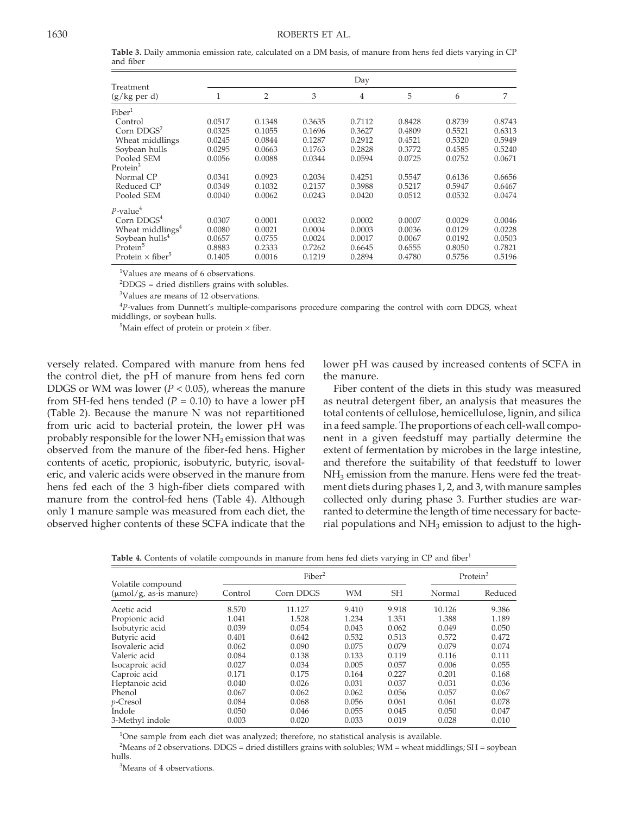**Table 3.** Daily ammonia emission rate, calculated on a DM basis, of manure from hens fed diets varying in CP and fiber

|                                     |        | Day            |        |                |        |        |        |  |  |  |
|-------------------------------------|--------|----------------|--------|----------------|--------|--------|--------|--|--|--|
| Treatment<br>(g/kg per d)           | 1      | $\overline{2}$ | 3      | $\overline{4}$ | 5      | 6      | 7      |  |  |  |
| ${\rm Fiber}^1$                     |        |                |        |                |        |        |        |  |  |  |
| Control                             | 0.0517 | 0.1348         | 0.3635 | 0.7112         | 0.8428 | 0.8739 | 0.8743 |  |  |  |
| Corn $DDGS2$                        | 0.0325 | 0.1055         | 0.1696 | 0.3627         | 0.4809 | 0.5521 | 0.6313 |  |  |  |
| Wheat middlings                     | 0.0245 | 0.0844         | 0.1287 | 0.2912         | 0.4521 | 0.5320 | 0.5949 |  |  |  |
| Soybean hulls                       | 0.0295 | 0.0663         | 0.1763 | 0.2828         | 0.3772 | 0.4585 | 0.5240 |  |  |  |
| Pooled SEM                          | 0.0056 | 0.0088         | 0.0344 | 0.0594         | 0.0725 | 0.0752 | 0.0671 |  |  |  |
| Protein <sup>3</sup>                |        |                |        |                |        |        |        |  |  |  |
| Normal CP                           | 0.0341 | 0.0923         | 0.2034 | 0.4251         | 0.5547 | 0.6136 | 0.6656 |  |  |  |
| Reduced CP                          | 0.0349 | 0.1032         | 0.2157 | 0.3988         | 0.5217 | 0.5947 | 0.6467 |  |  |  |
| Pooled SEM                          | 0.0040 | 0.0062         | 0.0243 | 0.0420         | 0.0512 | 0.0532 | 0.0474 |  |  |  |
| P-value $^4\,$                      |        |                |        |                |        |        |        |  |  |  |
| Corn $DDGS4$                        | 0.0307 | 0.0001         | 0.0032 | 0.0002         | 0.0007 | 0.0029 | 0.0046 |  |  |  |
| Wheat middlings <sup>4</sup>        | 0.0080 | 0.0021         | 0.0004 | 0.0003         | 0.0036 | 0.0129 | 0.0228 |  |  |  |
| Soybean hulls <sup>4</sup>          | 0.0657 | 0.0755         | 0.0024 | 0.0017         | 0.0067 | 0.0192 | 0.0503 |  |  |  |
| Protein <sup>5</sup>                | 0.8883 | 0.2333         | 0.7262 | 0.6645         | 0.6555 | 0.8050 | 0.7821 |  |  |  |
| Protein $\times$ fiber <sup>5</sup> | 0.1405 | 0.0016         | 0.1219 | 0.2894         | 0.4780 | 0.5756 | 0.5196 |  |  |  |

<sup>1</sup>Values are means of 6 observations.

2 DDGS = dried distillers grains with solubles.

3 Values are means of 12 observations.

<sup>4</sup>P-values from Dunnett's multiple-comparisons procedure comparing the control with corn DDGS, wheat middlings, or soybean hulls.

<sup>5</sup>Main effect of protein or protein  $\times$  fiber.

versely related. Compared with manure from hens fed the control diet, the pH of manure from hens fed corn DDGS or WM was lower ( $P < 0.05$ ), whereas the manure from SH-fed hens tended  $(P = 0.10)$  to have a lower pH (Table 2). Because the manure N was not repartitioned from uric acid to bacterial protein, the lower pH was probably responsible for the lower  $NH<sub>3</sub>$  emission that was observed from the manure of the fiber-fed hens. Higher contents of acetic, propionic, isobutyric, butyric, isovaleric, and valeric acids were observed in the manure from hens fed each of the 3 high-fiber diets compared with manure from the control-fed hens (Table 4). Although only 1 manure sample was measured from each diet, the observed higher contents of these SCFA indicate that the lower pH was caused by increased contents of SCFA in the manure.

Fiber content of the diets in this study was measured as neutral detergent fiber, an analysis that measures the total contents of cellulose, hemicellulose, lignin, and silica in a feed sample. The proportions of each cell-wall component in a given feedstuff may partially determine the extent of fermentation by microbes in the large intestine, and therefore the suitability of that feedstuff to lower  $NH<sub>3</sub>$  emission from the manure. Hens were fed the treatment diets during phases 1, 2, and 3, with manure samples collected only during phase 3. Further studies are warranted to determine the length of time necessary for bacterial populations and  $NH<sub>3</sub>$  emission to adjust to the high-

**Table 4.** Contents of volatile compounds in manure from hens fed diets varying in CP and fiber<sup>1</sup>

| Volatile compound<br>$(\mu \text{mol}/g)$ , as-is manure) |         | Fiber <sup>2</sup> | Protein <sup>3</sup> |           |        |         |
|-----------------------------------------------------------|---------|--------------------|----------------------|-----------|--------|---------|
|                                                           | Control | Corn DDGS          | <b>WM</b>            | <b>SH</b> | Normal | Reduced |
| Acetic acid                                               | 8.570   | 11.127             | 9.410                | 9.918     | 10.126 | 9.386   |
| Propionic acid                                            | 1.041   | 1.528              | 1.234                | 1.351     | 1.388  | 1.189   |
| Isobutyric acid                                           | 0.039   | 0.054              | 0.043                | 0.062     | 0.049  | 0.050   |
| Butyric acid                                              | 0.401   | 0.642              | 0.532                | 0.513     | 0.572  | 0.472   |
| Isovaleric acid                                           | 0.062   | 0.090              | 0.075                | 0.079     | 0.079  | 0.074   |
| Valeric acid                                              | 0.084   | 0.138              | 0.133                | 0.119     | 0.116  | 0.111   |
| Isocaproic acid                                           | 0.027   | 0.034              | 0.005                | 0.057     | 0.006  | 0.055   |
| Caproic acid                                              | 0.171   | 0.175              | 0.164                | 0.227     | 0.201  | 0.168   |
| Heptanoic acid                                            | 0.040   | 0.026              | 0.031                | 0.037     | 0.031  | 0.036   |
| Phenol                                                    | 0.067   | 0.062              | 0.062                | 0.056     | 0.057  | 0.067   |
| p-Cresol                                                  | 0.084   | 0.068              | 0.056                | 0.061     | 0.061  | 0.078   |
| Indole                                                    | 0.050   | 0.046              | 0.055                | 0.045     | 0.050  | 0.047   |
| 3-Methyl indole                                           | 0.003   | 0.020              | 0.033                | 0.019     | 0.028  | 0.010   |

<sup>1</sup>One sample from each diet was analyzed; therefore, no statistical analysis is available.

2 Means of 2 observations. DDGS = dried distillers grains with solubles; WM = wheat middlings; SH = soybean hulls.

3 Means of 4 observations.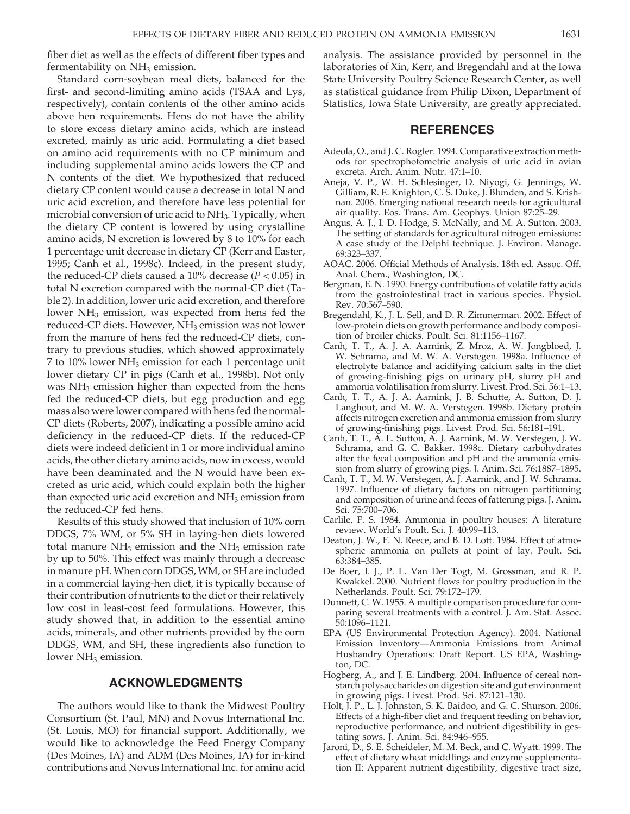fiber diet as well as the effects of different fiber types and fermentability on  $NH<sub>3</sub>$  emission.

Standard corn-soybean meal diets, balanced for the first- and second-limiting amino acids (TSAA and Lys, respectively), contain contents of the other amino acids above hen requirements. Hens do not have the ability to store excess dietary amino acids, which are instead excreted, mainly as uric acid. Formulating a diet based on amino acid requirements with no CP minimum and including supplemental amino acids lowers the CP and N contents of the diet. We hypothesized that reduced dietary CP content would cause a decrease in total N and uric acid excretion, and therefore have less potential for microbial conversion of uric acid to NH<sub>3</sub>. Typically, when the dietary CP content is lowered by using crystalline amino acids, N excretion is lowered by 8 to 10% for each 1 percentage unit decrease in dietary CP (Kerr and Easter, 1995; Canh et al., 1998c). Indeed, in the present study, the reduced-CP diets caused a 10% decrease (*P* < 0.05) in total N excretion compared with the normal-CP diet (Table 2). In addition, lower uric acid excretion, and therefore lower  $NH<sub>3</sub>$  emission, was expected from hens fed the reduced-CP diets. However, NH<sub>3</sub> emission was not lower from the manure of hens fed the reduced-CP diets, contrary to previous studies, which showed approximately 7 to 10% lower  $NH<sub>3</sub>$  emission for each 1 percentage unit lower dietary CP in pigs (Canh et al., 1998b). Not only was  $NH<sub>3</sub>$  emission higher than expected from the hens fed the reduced-CP diets, but egg production and egg mass also were lower compared with hens fed the normal-CP diets (Roberts, 2007), indicating a possible amino acid deficiency in the reduced-CP diets. If the reduced-CP diets were indeed deficient in 1 or more individual amino acids, the other dietary amino acids, now in excess, would have been deaminated and the N would have been excreted as uric acid, which could explain both the higher than expected uric acid excretion and  $NH<sub>3</sub>$  emission from the reduced-CP fed hens.

Results of this study showed that inclusion of 10% corn DDGS, 7% WM, or 5% SH in laying-hen diets lowered total manure  $NH<sub>3</sub>$  emission and the  $NH<sub>3</sub>$  emission rate by up to 50%. This effect was mainly through a decrease in manure pH. When corn DDGS, WM, or SH are included in a commercial laying-hen diet, it is typically because of their contribution of nutrients to the diet or their relatively low cost in least-cost feed formulations. However, this study showed that, in addition to the essential amino acids, minerals, and other nutrients provided by the corn DDGS, WM, and SH, these ingredients also function to lower  $NH<sub>3</sub>$  emission.

# **ACKNOWLEDGMENTS**

The authors would like to thank the Midwest Poultry Consortium (St. Paul, MN) and Novus International Inc. (St. Louis, MO) for financial support. Additionally, we would like to acknowledge the Feed Energy Company (Des Moines, IA) and ADM (Des Moines, IA) for in-kind contributions and Novus International Inc. for amino acid

analysis. The assistance provided by personnel in the laboratories of Xin, Kerr, and Bregendahl and at the Iowa State University Poultry Science Research Center, as well as statistical guidance from Philip Dixon, Department of Statistics, Iowa State University, are greatly appreciated.

# **REFERENCES**

- Adeola, O., and J. C. Rogler. 1994. Comparative extraction methods for spectrophotometric analysis of uric acid in avian excreta. Arch. Anim. Nutr. 47:1–10.
- Aneja, V. P., W. H. Schlesinger, D. Niyogi, G. Jennings, W. Gilliam, R. E. Knighton, C. S. Duke, J. Blunden, and S. Krishnan. 2006. Emerging national research needs for agricultural air quality. Eos. Trans. Am. Geophys. Union 87:25–29.
- Angus, A. J., I. D. Hodge, S. McNally, and M. A. Sutton. 2003. The setting of standards for agricultural nitrogen emissions: A case study of the Delphi technique. J. Environ. Manage. 69:323–337.
- AOAC. 2006. Official Methods of Analysis. 18th ed. Assoc. Off. Anal. Chem., Washington, DC.
- Bergman, E. N. 1990. Energy contributions of volatile fatty acids from the gastrointestinal tract in various species. Physiol. Rev. 70:567–590.
- Bregendahl, K., J. L. Sell, and D. R. Zimmerman. 2002. Effect of low-protein diets on growth performance and body composition of broiler chicks. Poult. Sci. 81:1156–1167.
- Canh, T. T., A. J. A. Aarnink, Z. Mroz, A. W. Jongbloed, J. W. Schrama, and M. W. A. Verstegen. 1998a. Influence of electrolyte balance and acidifying calcium salts in the diet of growing-finishing pigs on urinary pH, slurry pH and ammonia volatilisation from slurry. Livest. Prod. Sci. 56:1–13.
- Canh, T. T., A. J. A. Aarnink, J. B. Schutte, A. Sutton, D. J. Langhout, and M. W. A. Verstegen. 1998b. Dietary protein affects nitrogen excretion and ammonia emission from slurry of growing-finishing pigs. Livest. Prod. Sci. 56:181–191.
- Canh, T. T., A. L. Sutton, A. J. Aarnink, M. W. Verstegen, J. W. Schrama, and G. C. Bakker. 1998c. Dietary carbohydrates alter the fecal composition and pH and the ammonia emission from slurry of growing pigs. J. Anim. Sci. 76:1887–1895.
- Canh, T. T., M. W. Verstegen, A. J. Aarnink, and J. W. Schrama. 1997. Influence of dietary factors on nitrogen partitioning and composition of urine and feces of fattening pigs. J. Anim. Sci. 75:700–706.
- Carlile, F. S. 1984. Ammonia in poultry houses: A literature review. World's Poult. Sci. J. 40:99–113.
- Deaton, J. W., F. N. Reece, and B. D. Lott. 1984. Effect of atmospheric ammonia on pullets at point of lay. Poult. Sci. 63:384–385.
- De Boer, I. J., P. L. Van Der Togt, M. Grossman, and R. P. Kwakkel. 2000. Nutrient flows for poultry production in the Netherlands. Poult. Sci. 79:172–179.
- Dunnett, C. W. 1955. A multiple comparison procedure for comparing several treatments with a control. J. Am. Stat. Assoc. 50:1096–1121.
- EPA (US Environmental Protection Agency). 2004. National Emission Inventory—Ammonia Emissions from Animal Husbandry Operations: Draft Report. US EPA, Washington, DC.
- Hogberg, A., and J. E. Lindberg. 2004. Influence of cereal nonstarch polysaccharides on digestion site and gut environment in growing pigs. Livest. Prod. Sci. 87:121–130.
- Holt, J. P., L. J. Johnston, S. K. Baidoo, and G. C. Shurson. 2006. Effects of a high-fiber diet and frequent feeding on behavior, reproductive performance, and nutrient digestibility in gestating sows. J. Anim. Sci. 84:946–955.
- Jaroni, D., S. E. Scheideler, M. M. Beck, and C. Wyatt. 1999. The effect of dietary wheat middlings and enzyme supplementation II: Apparent nutrient digestibility, digestive tract size,